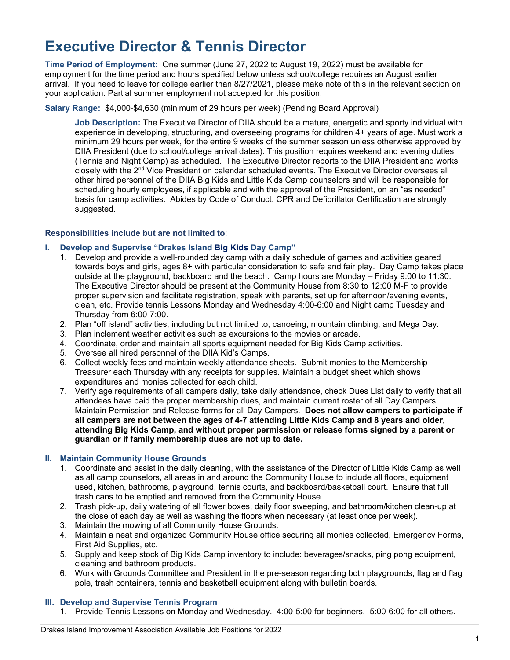# **Executive Director & Tennis Director**

**Time Period of Employment:** One summer (June 27, 2022 to August 19, 2022) must be available for employment for the time period and hours specified below unless school/college requires an August earlier arrival. If you need to leave for college earlier than 8/27/2021, please make note of this in the relevant section on your application. Partial summer employment not accepted for this position.

## **Salary Range:** \$4,000-\$4,630 (minimum of 29 hours per week) (Pending Board Approval)

**Job Description:** The Executive Director of DIIA should be a mature, energetic and sporty individual with experience in developing, structuring, and overseeing programs for children 4+ years of age. Must work a minimum 29 hours per week, for the entire 9 weeks of the summer season unless otherwise approved by DIIA President (due to school/college arrival dates). This position requires weekend and evening duties (Tennis and Night Camp) as scheduled. The Executive Director reports to the DIIA President and works closely with the 2<sup>nd</sup> Vice President on calendar scheduled events. The Executive Director oversees all other hired personnel of the DIIA Big Kids and Little Kids Camp counselors and will be responsible for scheduling hourly employees, if applicable and with the approval of the President, on an "as needed" basis for camp activities. Abides by Code of Conduct. CPR and Defibrillator Certification are strongly suggested.

#### **Responsibilities include but are not limited to**:

## **I. Develop and Supervise "Drakes Island Big Kids Day Camp"**

- 1. Develop and provide a well-rounded day camp with a daily schedule of games and activities geared towards boys and girls, ages 8+ with particular consideration to safe and fair play. Day Camp takes place outside at the playground, backboard and the beach. Camp hours are Monday – Friday 9:00 to 11:30. The Executive Director should be present at the Community House from 8:30 to 12:00 M-F to provide proper supervision and facilitate registration, speak with parents, set up for afternoon/evening events, clean, etc. Provide tennis Lessons Monday and Wednesday 4:00-6:00 and Night camp Tuesday and Thursday from 6:00-7:00.
- 2. Plan "off island" activities, including but not limited to, canoeing, mountain climbing, and Mega Day.
- 3. Plan inclement weather activities such as excursions to the movies or arcade.
- 4. Coordinate, order and maintain all sports equipment needed for Big Kids Camp activities.
- 5. Oversee all hired personnel of the DIIA Kid's Camps.
- 6. Collect weekly fees and maintain weekly attendance sheets. Submit monies to the Membership Treasurer each Thursday with any receipts for supplies. Maintain a budget sheet which shows expenditures and monies collected for each child.
- 7. Verify age requirements of all campers daily, take daily attendance, check Dues List daily to verify that all attendees have paid the proper membership dues, and maintain current roster of all Day Campers. Maintain Permission and Release forms for all Day Campers. **Does not allow campers to participate if all campers are not between the ages of 4-7 attending Little Kids Camp and 8 years and older, attending Big Kids Camp, and without proper permission or release forms signed by a parent or guardian or if family membership dues are not up to date.**

#### **II. Maintain Community House Grounds**

- 1. Coordinate and assist in the daily cleaning, with the assistance of the Director of Little Kids Camp as well as all camp counselors, all areas in and around the Community House to include all floors, equipment used, kitchen, bathrooms, playground, tennis courts, and backboard/basketball court. Ensure that full trash cans to be emptied and removed from the Community House.
- 2. Trash pick-up, daily watering of all flower boxes, daily floor sweeping, and bathroom/kitchen clean-up at the close of each day as well as washing the floors when necessary (at least once per week).
- 3. Maintain the mowing of all Community House Grounds.
- 4. Maintain a neat and organized Community House office securing all monies collected, Emergency Forms, First Aid Supplies, etc.
- 5. Supply and keep stock of Big Kids Camp inventory to include: beverages/snacks, ping pong equipment, cleaning and bathroom products.
- 6. Work with Grounds Committee and President in the pre-season regarding both playgrounds, flag and flag pole, trash containers, tennis and basketball equipment along with bulletin boards.

#### **III. Develop and Supervise Tennis Program**

1. Provide Tennis Lessons on Monday and Wednesday. 4:00-5:00 for beginners. 5:00-6:00 for all others.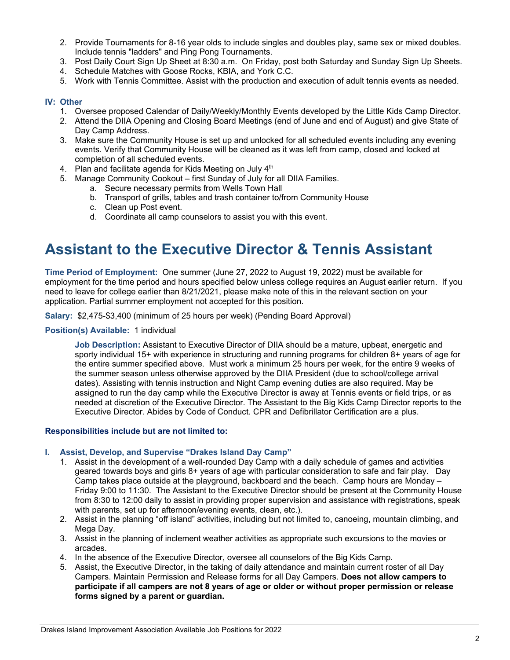- 2. Provide Tournaments for 8-16 year olds to include singles and doubles play, same sex or mixed doubles. Include tennis "ladders" and Ping Pong Tournaments.
- 3. Post Daily Court Sign Up Sheet at 8:30 a.m. On Friday, post both Saturday and Sunday Sign Up Sheets.
- 4. Schedule Matches with Goose Rocks, KBIA, and York C.C.
- 5. Work with Tennis Committee. Assist with the production and execution of adult tennis events as needed.

## **IV: Other**

- 1. Oversee proposed Calendar of Daily/Weekly/Monthly Events developed by the Little Kids Camp Director.
- 2. Attend the DIIA Opening and Closing Board Meetings (end of June and end of August) and give State of Day Camp Address.
- 3. Make sure the Community House is set up and unlocked for all scheduled events including any evening events. Verify that Community House will be cleaned as it was left from camp, closed and locked at completion of all scheduled events.
- 4. Plan and facilitate agenda for Kids Meeting on July 4<sup>th</sup>
- 5. Manage Community Cookout first Sunday of July for all DIIA Families.
	- a. Secure necessary permits from Wells Town Hall
		- b. Transport of grills, tables and trash container to/from Community House
		- c. Clean up Post event.
		- d. Coordinate all camp counselors to assist you with this event.

# **Assistant to the Executive Director & Tennis Assistant**

**Time Period of Employment:** One summer (June 27, 2022 to August 19, 2022) must be available for employment for the time period and hours specified below unless college requires an August earlier return. If you need to leave for college earlier than 8/21/2021, please make note of this in the relevant section on your application. Partial summer employment not accepted for this position.

**Salary:** \$2,475-\$3,400 (minimum of 25 hours per week) (Pending Board Approval)

#### **Position(s) Available:** 1 individual

**Job Description:** Assistant to Executive Director of DIIA should be a mature, upbeat, energetic and sporty individual 15+ with experience in structuring and running programs for children 8+ years of age for the entire summer specified above. Must work a minimum 25 hours per week, for the entire 9 weeks of the summer season unless otherwise approved by the DIIA President (due to school/college arrival dates). Assisting with tennis instruction and Night Camp evening duties are also required. May be assigned to run the day camp while the Executive Director is away at Tennis events or field trips, or as needed at discretion of the Executive Director. The Assistant to the Big Kids Camp Director reports to the Executive Director. Abides by Code of Conduct. CPR and Defibrillator Certification are a plus.

#### **Responsibilities include but are not limited to:**

#### **I. Assist, Develop, and Supervise "Drakes Island Day Camp"**

- 1. Assist in the development of a well-rounded Day Camp with a daily schedule of games and activities geared towards boys and girls 8+ years of age with particular consideration to safe and fair play. Day Camp takes place outside at the playground, backboard and the beach. Camp hours are Monday – Friday 9:00 to 11:30. The Assistant to the Executive Director should be present at the Community House from 8:30 to 12:00 daily to assist in providing proper supervision and assistance with registrations, speak with parents, set up for afternoon/evening events, clean, etc.).
- 2. Assist in the planning "off island" activities, including but not limited to, canoeing, mountain climbing, and Mega Day.
- 3. Assist in the planning of inclement weather activities as appropriate such excursions to the movies or arcades.
- 4. In the absence of the Executive Director, oversee all counselors of the Big Kids Camp.
- 5. Assist, the Executive Director, in the taking of daily attendance and maintain current roster of all Day Campers. Maintain Permission and Release forms for all Day Campers. **Does not allow campers to participate if all campers are not 8 years of age or older or without proper permission or release forms signed by a parent or guardian.**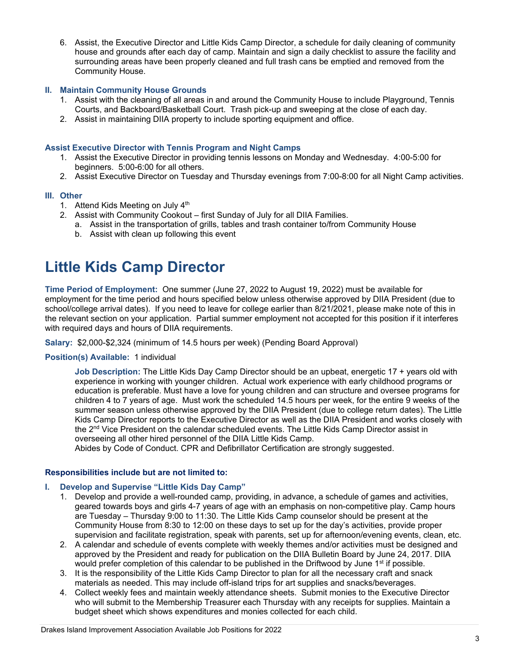6. Assist, the Executive Director and Little Kids Camp Director, a schedule for daily cleaning of community house and grounds after each day of camp. Maintain and sign a daily checklist to assure the facility and surrounding areas have been properly cleaned and full trash cans be emptied and removed from the Community House.

## **II. Maintain Community House Grounds**

- 1. Assist with the cleaning of all areas in and around the Community House to include Playground, Tennis Courts, and Backboard/Basketball Court. Trash pick-up and sweeping at the close of each day.
- 2. Assist in maintaining DIIA property to include sporting equipment and office.

#### **Assist Executive Director with Tennis Program and Night Camps**

- 1. Assist the Executive Director in providing tennis lessons on Monday and Wednesday. 4:00-5:00 for beginners. 5:00-6:00 for all others.
- 2. Assist Executive Director on Tuesday and Thursday evenings from 7:00-8:00 for all Night Camp activities.

#### **III. Other**

- 1. Attend Kids Meeting on July 4<sup>th</sup>
- 2. Assist with Community Cookout first Sunday of July for all DIIA Families.
	- a. Assist in the transportation of grills, tables and trash container to/from Community House
	- b. Assist with clean up following this event

# **Little Kids Camp Director**

**Time Period of Employment:** One summer (June 27, 2022 to August 19, 2022) must be available for employment for the time period and hours specified below unless otherwise approved by DIIA President (due to school/college arrival dates). If you need to leave for college earlier than 8/21/2021, please make note of this in the relevant section on your application. Partial summer employment not accepted for this position if it interferes with required days and hours of DIIA requirements.

**Salary:** \$2,000-\$2,324 (minimum of 14.5 hours per week) (Pending Board Approval)

**Position(s) Available:** 1 individual

**Job Description:** The Little Kids Day Camp Director should be an upbeat, energetic 17 + years old with experience in working with younger children. Actual work experience with early childhood programs or education is preferable. Must have a love for young children and can structure and oversee programs for children 4 to 7 years of age. Must work the scheduled 14.5 hours per week, for the entire 9 weeks of the summer season unless otherwise approved by the DIIA President (due to college return dates). The Little Kids Camp Director reports to the Executive Director as well as the DIIA President and works closely with the 2<sup>nd</sup> Vice President on the calendar scheduled events. The Little Kids Camp Director assist in overseeing all other hired personnel of the DIIA Little Kids Camp.

Abides by Code of Conduct. CPR and Defibrillator Certification are strongly suggested.

#### **Responsibilities include but are not limited to:**

#### **I. Develop and Supervise "Little Kids Day Camp"**

- 1. Develop and provide a well-rounded camp, providing, in advance, a schedule of games and activities, geared towards boys and girls 4-7 years of age with an emphasis on non-competitive play. Camp hours are Tuesday – Thursday 9:00 to 11:30. The Little Kids Camp counselor should be present at the Community House from 8:30 to 12:00 on these days to set up for the day's activities, provide proper supervision and facilitate registration, speak with parents, set up for afternoon/evening events, clean, etc.
- 2. A calendar and schedule of events complete with weekly themes and/or activities must be designed and approved by the President and ready for publication on the DIIA Bulletin Board by June 24, 2017. DIIA would prefer completion of this calendar to be published in the Driftwood by June 1<sup>st</sup> if possible.
- 3. It is the responsibility of the Little Kids Camp Director to plan for all the necessary craft and snack materials as needed. This may include off-island trips for art supplies and snacks/beverages.
- 4. Collect weekly fees and maintain weekly attendance sheets. Submit monies to the Executive Director who will submit to the Membership Treasurer each Thursday with any receipts for supplies. Maintain a budget sheet which shows expenditures and monies collected for each child.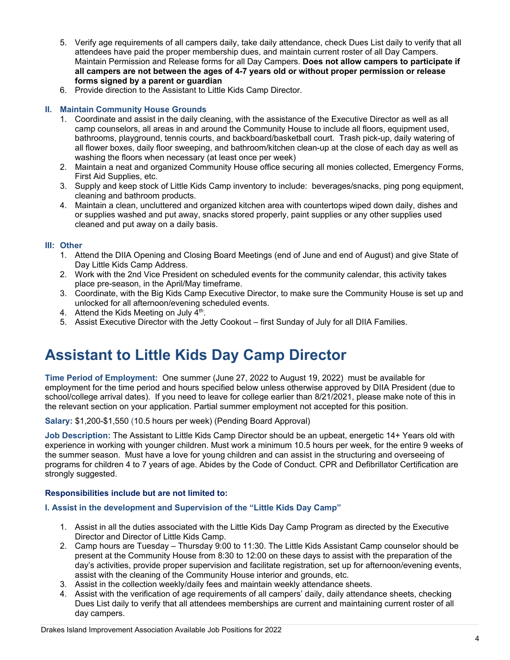- 5. Verify age requirements of all campers daily, take daily attendance, check Dues List daily to verify that all attendees have paid the proper membership dues, and maintain current roster of all Day Campers. Maintain Permission and Release forms for all Day Campers. **Does not allow campers to participate if all campers are not between the ages of 4-7 years old or without proper permission or release forms signed by a parent or guardian**
- 6. Provide direction to the Assistant to Little Kids Camp Director.

## **II. Maintain Community House Grounds**

- 1. Coordinate and assist in the daily cleaning, with the assistance of the Executive Director as well as all camp counselors, all areas in and around the Community House to include all floors, equipment used, bathrooms, playground, tennis courts, and backboard/basketball court. Trash pick-up, daily watering of all flower boxes, daily floor sweeping, and bathroom/kitchen clean-up at the close of each day as well as washing the floors when necessary (at least once per week)
- 2. Maintain a neat and organized Community House office securing all monies collected, Emergency Forms, First Aid Supplies, etc.
- 3. Supply and keep stock of Little Kids Camp inventory to include: beverages/snacks, ping pong equipment, cleaning and bathroom products.
- 4. Maintain a clean, uncluttered and organized kitchen area with countertops wiped down daily, dishes and or supplies washed and put away, snacks stored properly, paint supplies or any other supplies used cleaned and put away on a daily basis.

#### **III: Other**

- 1. Attend the DIIA Opening and Closing Board Meetings (end of June and end of August) and give State of Day Little Kids Camp Address.
- 2. Work with the 2nd Vice President on scheduled events for the community calendar, this activity takes place pre-season, in the April/May timeframe.
- 3. Coordinate, with the Big Kids Camp Executive Director, to make sure the Community House is set up and unlocked for all afternoon/evening scheduled events.
- 4. Attend the Kids Meeting on July  $4<sup>th</sup>$ .
- 5. Assist Executive Director with the Jetty Cookout first Sunday of July for all DIIA Families.

# **Assistant to Little Kids Day Camp Director**

**Time Period of Employment:** One summer (June 27, 2022 to August 19, 2022) must be available for employment for the time period and hours specified below unless otherwise approved by DIIA President (due to school/college arrival dates). If you need to leave for college earlier than 8/21/2021, please make note of this in the relevant section on your application. Partial summer employment not accepted for this position.

**Salary:** \$1,200-\$1,550 (10.5 hours per week) (Pending Board Approval)

**Job Description:** The Assistant to Little Kids Camp Director should be an upbeat, energetic 14+ Years old with experience in working with younger children. Must work a minimum 10.5 hours per week, for the entire 9 weeks of the summer season. Must have a love for young children and can assist in the structuring and overseeing of programs for children 4 to 7 years of age. Abides by the Code of Conduct. CPR and Defibrillator Certification are strongly suggested.

#### **Responsibilities include but are not limited to:**

# **I. Assist in the development and Supervision of the "Little Kids Day Camp"**

- 1. Assist in all the duties associated with the Little Kids Day Camp Program as directed by the Executive Director and Director of Little Kids Camp.
- 2. Camp hours are Tuesday Thursday 9:00 to 11:30. The Little Kids Assistant Camp counselor should be present at the Community House from 8:30 to 12:00 on these days to assist with the preparation of the day's activities, provide proper supervision and facilitate registration, set up for afternoon/evening events, assist with the cleaning of the Community House interior and grounds, etc.
- 3. Assist in the collection weekly/daily fees and maintain weekly attendance sheets.
- 4. Assist with the verification of age requirements of all campers' daily, daily attendance sheets, checking Dues List daily to verify that all attendees memberships are current and maintaining current roster of all day campers.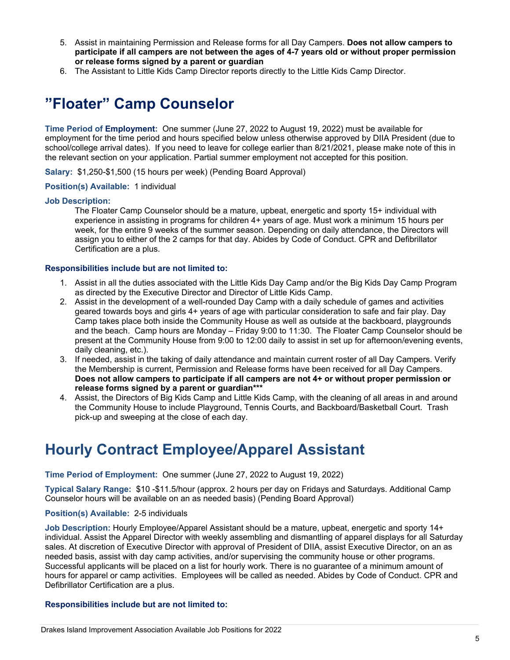- 5. Assist in maintaining Permission and Release forms for all Day Campers. **Does not allow campers to participate if all campers are not between the ages of 4-7 years old or without proper permission or release forms signed by a parent or guardian**
- 6. The Assistant to Little Kids Camp Director reports directly to the Little Kids Camp Director.

# **"Floater" Camp Counselor**

**Time Period of Employment:** One summer (June 27, 2022 to August 19, 2022) must be available for employment for the time period and hours specified below unless otherwise approved by DIIA President (due to school/college arrival dates). If you need to leave for college earlier than 8/21/2021, please make note of this in the relevant section on your application. Partial summer employment not accepted for this position.

**Salary:** \$1,250-\$1,500 (15 hours per week) (Pending Board Approval)

## **Position(s) Available:** 1 individual

#### **Job Description:**

The Floater Camp Counselor should be a mature, upbeat, energetic and sporty 15+ individual with experience in assisting in programs for children 4+ years of age. Must work a minimum 15 hours per week, for the entire 9 weeks of the summer season. Depending on daily attendance, the Directors will assign you to either of the 2 camps for that day. Abides by Code of Conduct. CPR and Defibrillator Certification are a plus.

## **Responsibilities include but are not limited to:**

- 1. Assist in all the duties associated with the Little Kids Day Camp and/or the Big Kids Day Camp Program as directed by the Executive Director and Director of Little Kids Camp.
- 2. Assist in the development of a well-rounded Day Camp with a daily schedule of games and activities geared towards boys and girls 4+ years of age with particular consideration to safe and fair play. Day Camp takes place both inside the Community House as well as outside at the backboard, playgrounds and the beach. Camp hours are Monday – Friday 9:00 to 11:30. The Floater Camp Counselor should be present at the Community House from 9:00 to 12:00 daily to assist in set up for afternoon/evening events, daily cleaning, etc.).
- 3. If needed, assist in the taking of daily attendance and maintain current roster of all Day Campers. Verify the Membership is current, Permission and Release forms have been received for all Day Campers. **Does not allow campers to participate if all campers are not 4+ or without proper permission or release forms signed by a parent or guardian\*\*\***
- 4. Assist, the Directors of Big Kids Camp and Little Kids Camp, with the cleaning of all areas in and around the Community House to include Playground, Tennis Courts, and Backboard/Basketball Court. Trash pick-up and sweeping at the close of each day.

# **Hourly Contract Employee/Apparel Assistant**

#### **Time Period of Employment:** One summer (June 27, 2022 to August 19, 2022)

**Typical Salary Range:** \$10 -\$11.5/hour (approx. 2 hours per day on Fridays and Saturdays. Additional Camp Counselor hours will be available on an as needed basis) (Pending Board Approval)

#### **Position(s) Available:** 2-5 individuals

**Job Description:** Hourly Employee/Apparel Assistant should be a mature, upbeat, energetic and sporty 14+ individual. Assist the Apparel Director with weekly assembling and dismantling of apparel displays for all Saturday sales. At discretion of Executive Director with approval of President of DIIA, assist Executive Director, on an as needed basis, assist with day camp activities, and/or supervising the community house or other programs. Successful applicants will be placed on a list for hourly work. There is no guarantee of a minimum amount of hours for apparel or camp activities. Employees will be called as needed. Abides by Code of Conduct. CPR and Defibrillator Certification are a plus.

## **Responsibilities include but are not limited to:**